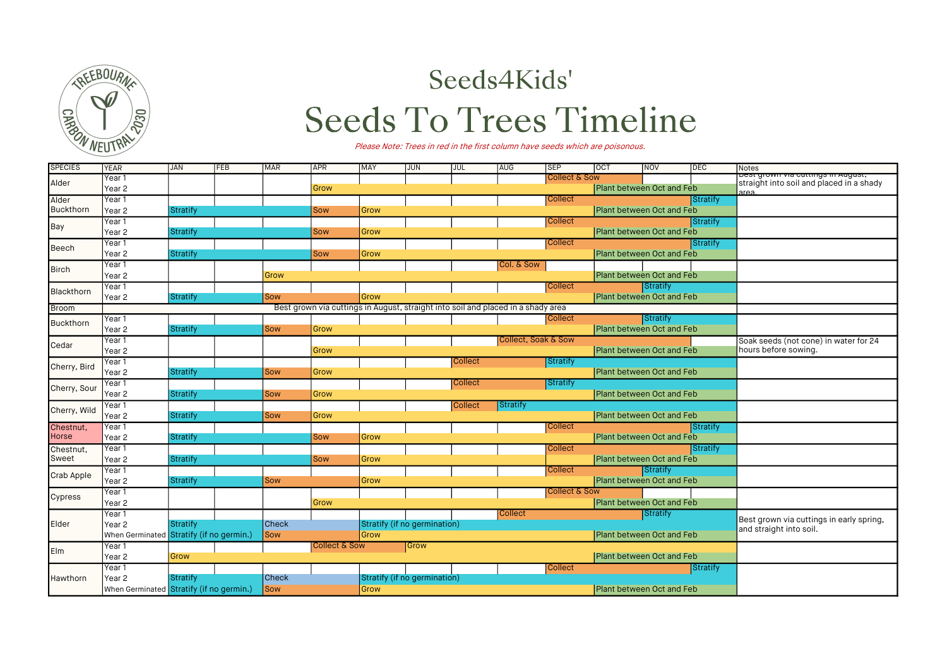

## Seeds4Kids'

## **Seeds To Trees Timeline**

Please Note: Trees in red in the first column have seeds which are poisonous.

| <b>SPECIES</b>     | <b>YEAR</b>                              | <b>JAN</b>                      | FEB | <b>MAR</b>   | APR                      | MAY                          | <b>JUN</b> | JUL            | AUG                                                                              | <b>SEP</b>                | <b>OCT</b>                       | NOV                              | DEC             | Notes                                                                                     |
|--------------------|------------------------------------------|---------------------------------|-----|--------------|--------------------------|------------------------------|------------|----------------|----------------------------------------------------------------------------------|---------------------------|----------------------------------|----------------------------------|-----------------|-------------------------------------------------------------------------------------------|
| Alder              | Year 1                                   |                                 |     |              |                          |                              |            |                |                                                                                  | <b>Collect &amp; Sow</b>  |                                  |                                  |                 | <del>best grown via cuttings in August,</del><br>straight into soil and placed in a shady |
|                    | Year <sub>2</sub>                        |                                 |     |              | Grow                     |                              |            |                |                                                                                  |                           | Plant between Oct and Feb        |                                  |                 | area                                                                                      |
| Alder              | Year 1                                   |                                 |     |              |                          |                              |            |                |                                                                                  | <b>Collect</b>            |                                  |                                  | <b>Stratify</b> |                                                                                           |
| Buckthorn          | Year 2                                   | <b>Stratify</b>                 |     |              | Sow                      | Grow                         |            |                |                                                                                  |                           | Plant between Oct and Feb        |                                  |                 |                                                                                           |
| Bay                | Year 1                                   |                                 |     |              |                          |                              |            |                |                                                                                  | <b>Collect</b>            |                                  |                                  | Stratify        |                                                                                           |
|                    | Year <sub>2</sub>                        | <b>Stratify</b>                 |     |              | Sow                      | Grow                         |            |                |                                                                                  |                           | Plant between Oct and Feb        |                                  |                 |                                                                                           |
| Beech              | Year 1                                   |                                 |     |              |                          |                              |            |                |                                                                                  | Collect                   |                                  |                                  | Stratify        |                                                                                           |
|                    | Year <sub>2</sub>                        | Stratify                        |     |              | Sow                      | Grow                         |            |                |                                                                                  |                           | <b>Plant between Oct and Feb</b> |                                  |                 |                                                                                           |
| <b>Birch</b>       | Year 1                                   |                                 |     |              |                          |                              |            |                | Col. & Sow                                                                       |                           |                                  |                                  |                 |                                                                                           |
|                    | Year <sub>2</sub>                        |                                 |     | Grow         |                          |                              |            |                |                                                                                  |                           |                                  | Plant between Oct and Feb        |                 |                                                                                           |
| Blackthorn         | Year 1                                   |                                 |     |              |                          |                              |            |                |                                                                                  | Collect                   |                                  | Stratify                         |                 |                                                                                           |
|                    | Year <sub>2</sub>                        | Stratify                        |     | Sow          |                          | Grow                         |            |                |                                                                                  |                           |                                  | <b>Plant between Oct and Feb</b> |                 |                                                                                           |
| Broom              |                                          |                                 |     |              |                          |                              |            |                | Best grown via cuttings in August, straight into soil and placed in a shady area |                           |                                  |                                  |                 |                                                                                           |
| Buckthorn          | Year 1                                   |                                 |     |              |                          |                              |            |                |                                                                                  | <b>Collect</b>            |                                  | Stratify                         |                 |                                                                                           |
|                    | Year <sub>2</sub>                        | Stratify                        |     | Sow          | Grow                     |                              |            |                |                                                                                  |                           | Plant between Oct and Feb        |                                  |                 |                                                                                           |
| Cedar              | Year 1                                   |                                 |     |              |                          |                              |            |                | Collect, Soak & Sow                                                              |                           |                                  |                                  |                 | Soak seeds (not cone) in water for 24                                                     |
|                    | Year <sub>2</sub>                        |                                 |     |              | Grow                     |                              |            |                |                                                                                  |                           | Plant between Oct and Feb        |                                  |                 | hours before sowing.                                                                      |
| Cherry, Bird       | Year 1                                   |                                 |     |              |                          |                              |            | <b>Collect</b> |                                                                                  | Stratify                  |                                  |                                  |                 |                                                                                           |
|                    | Year <sub>2</sub>                        | <b>Stratify</b>                 |     | Sow          | Grow                     |                              |            |                |                                                                                  |                           |                                  | Plant between Oct and Feb        |                 |                                                                                           |
| Cherry, Sour       | Year 1                                   |                                 |     |              |                          | <b>Collect</b><br>Stratify   |            |                |                                                                                  |                           |                                  |                                  |                 |                                                                                           |
|                    | Year <sub>2</sub>                        | Stratify                        |     | Sow          | Grow                     |                              |            |                |                                                                                  |                           | Plant between Oct and Feb        |                                  |                 |                                                                                           |
| Cherry, Wild       | Year 1                                   |                                 |     |              |                          |                              |            | <b>Collect</b> | Stratify                                                                         |                           |                                  |                                  |                 |                                                                                           |
|                    | Year <sub>2</sub>                        | Stratify                        |     | Sow          | Grow                     |                              |            |                |                                                                                  |                           |                                  | Plant between Oct and Feb        |                 |                                                                                           |
| Chestnut,          | Year 1                                   |                                 |     |              |                          |                              |            |                |                                                                                  | <b>Collect</b>            |                                  | Stratify                         |                 |                                                                                           |
| <b>Horse</b>       | Year 2                                   | Stratify                        |     |              | Sow                      | Grow                         |            |                |                                                                                  |                           | Plant between Oct and Feb        |                                  |                 |                                                                                           |
| Chestnut,<br>Sweet | Year 1                                   |                                 |     |              |                          |                              |            |                |                                                                                  | <b>Collect</b>            |                                  |                                  | <b>Stratify</b> |                                                                                           |
|                    | Year <sub>2</sub>                        | <b>Stratify</b>                 |     |              | Sow                      | Grow                         |            |                |                                                                                  |                           | Plant between Oct and Feb        |                                  |                 |                                                                                           |
| <b>Crab Apple</b>  | Year 1                                   |                                 |     |              |                          |                              |            |                |                                                                                  | <b>Collect</b>            |                                  | Stratify                         |                 |                                                                                           |
|                    | Year 2                                   | <b>Stratify</b>                 |     | Sow          |                          | Grow                         |            |                |                                                                                  |                           | Plant between Oct and Feb        |                                  |                 |                                                                                           |
| Cypress            | Year 1                                   |                                 |     |              |                          |                              |            |                |                                                                                  | <b>Collect &amp; Sow</b>  |                                  |                                  |                 |                                                                                           |
|                    | Year <sub>2</sub>                        |                                 |     |              | Grow                     |                              |            |                |                                                                                  |                           | Plant between Oct and Feb        |                                  |                 |                                                                                           |
|                    | Year 1                                   |                                 |     |              |                          |                              |            |                | <b>Collect</b>                                                                   |                           |                                  | Stratify                         |                 |                                                                                           |
| Elder              | Year <sub>2</sub>                        | Stratify                        |     | <b>Check</b> |                          | Stratify (if no germination) |            |                |                                                                                  |                           |                                  |                                  |                 | Best grown via cuttings in early spring,<br>and straight into soil.                       |
|                    | When Germinated                          | Stratify (if no germin.)<br>Sow |     |              |                          | Grow                         |            |                |                                                                                  | Plant between Oct and Feb |                                  |                                  |                 |                                                                                           |
| Elm                | Year 1                                   |                                 |     |              | <b>Collect &amp; Sow</b> | Grow                         |            |                |                                                                                  |                           |                                  |                                  |                 |                                                                                           |
|                    | Year <sub>2</sub>                        | Grow                            |     |              |                          |                              |            |                |                                                                                  |                           | Plant between Oct and Feb        |                                  |                 |                                                                                           |
|                    | Year 1                                   |                                 |     |              |                          |                              |            |                |                                                                                  | <b>Collect</b>            |                                  |                                  | Stratify        |                                                                                           |
| Hawthorn           | Year <sub>2</sub>                        | Stratify                        |     | <b>Check</b> |                          | Stratify (if no germination) |            |                |                                                                                  |                           |                                  |                                  |                 |                                                                                           |
|                    | When Germinated Stratify (if no germin.) |                                 |     | Sow          |                          | Grow                         |            |                |                                                                                  |                           | Plant between Oct and Feb        |                                  |                 |                                                                                           |